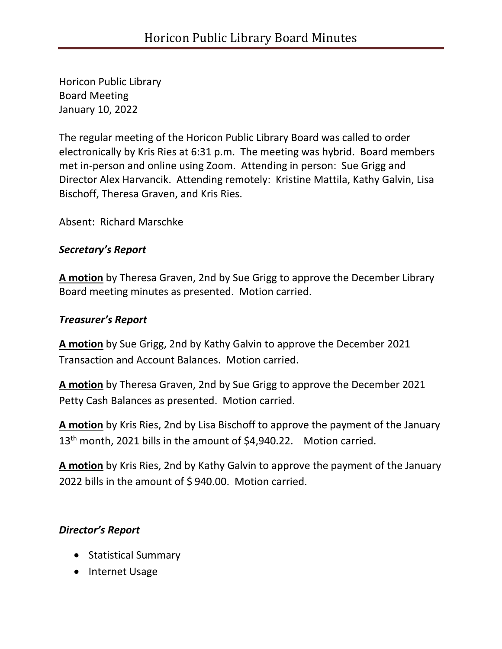Horicon Public Library Board Meeting January 10, 2022

The regular meeting of the Horicon Public Library Board was called to order electronically by Kris Ries at 6:31 p.m. The meeting was hybrid. Board members met in-person and online using Zoom. Attending in person: Sue Grigg and Director Alex Harvancik. Attending remotely: Kristine Mattila, Kathy Galvin, Lisa Bischoff, Theresa Graven, and Kris Ries.

Absent: Richard Marschke

### *Secretary's Report*

**A motion** by Theresa Graven, 2nd by Sue Grigg to approve the December Library Board meeting minutes as presented. Motion carried.

## *Treasurer's Report*

**A motion** by Sue Grigg, 2nd by Kathy Galvin to approve the December 2021 Transaction and Account Balances. Motion carried.

**A motion** by Theresa Graven, 2nd by Sue Grigg to approve the December 2021 Petty Cash Balances as presented. Motion carried.

**A motion** by Kris Ries, 2nd by Lisa Bischoff to approve the payment of the January 13<sup>th</sup> month, 2021 bills in the amount of \$4,940.22. Motion carried.

**A motion** by Kris Ries, 2nd by Kathy Galvin to approve the payment of the January 2022 bills in the amount of \$ 940.00. Motion carried.

# *Director's Report*

- Statistical Summary
- Internet Usage